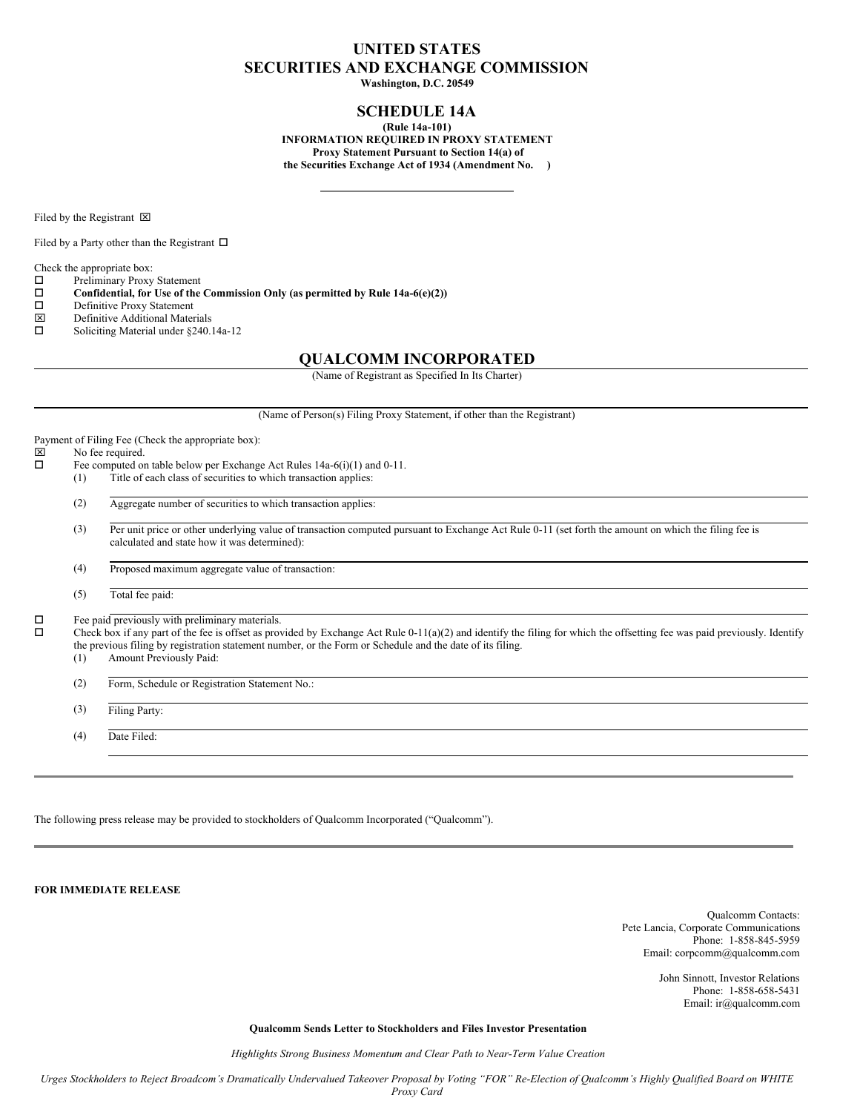# **UNITED STATES SECURITIES AND EXCHANGE COMMISSION**

**Washington, D.C. 20549**

## **SCHEDULE 14A**

**(Rule 14a-101) INFORMATION REQUIRED IN PROXY STATEMENT Proxy Statement Pursuant to Section 14(a) of the Securities Exchange Act of 1934 (Amendment No. )**

Filed by the Registrant  $\boxtimes$ 

Filed by a Party other than the Registrant  $\Box$ 

Check the appropriate box:

 $\square$  Preliminary Proxy Statement<br> $\square$  Confidential, for Use of the

 $\square$  Confidential, for Use of the Commission Only (as permitted by Rule 14a-6(e)(2))<br> $\square$  Definitive Proxy Statement

- □ Definitive Proxy Statement<br> **図** Definitive Additional Mater
- $\boxtimes$  Definitive Additional Materials<br> $\square$  Soliciting Material under \$240.
- Soliciting Material under §240.14a-12

### **QUALCOMM INCORPORATED**

(Name of Registrant as Specified In Its Charter)

(Name of Person(s) Filing Proxy Statement, if other than the Registrant)

Payment of Filing Fee (Check the appropriate box):  $\boxtimes$  No fee required.<br> $\square$  Fee computed on Fee computed on table below per Exchange Act Rules 14a-6(i)(1) and 0-11. (1) Title of each class of securities to which transaction applies: (2) Aggregate number of securities to which transaction applies: (3) Per unit price or other underlying value of transaction computed pursuant to Exchange Act Rule 0-11 (set forth the amount on which the filing fee is calculated and state how it was determined): (4) Proposed maximum aggregate value of transaction: (5) Total fee paid:  $\square$  Fee paid previously with preliminary materials.<br> $\square$  Check box if any part of the fee is offset as prov Check box if any part of the fee is offset as provided by Exchange Act Rule 0-11(a)(2) and identify the filing for which the offsetting fee was paid previously. Identify the previous filing by registration statement number, or the Form or Schedule and the date of its filing. (1) Amount Previously Paid: (2) Form, Schedule or Registration Statement No.: (3) Filing Party: (4) Date Filed:

The following press release may be provided to stockholders of Qualcomm Incorporated ("Qualcomm").

**FOR IMMEDIATE RELEASE**

Qualcomm Contacts: Pete Lancia, Corporate Communications Phone: 1-858-845-5959 Email: corpcomm@qualcomm.com

> John Sinnott, Investor Relations Phone: 1-858-658-5431 Email: ir@qualcomm.com

**Qualcomm Sends Letter to Stockholders and Files Investor Presentation**

*Highlights Strong Business Momentum and Clear Path to Near-Term Value Creation*

Urges Stockholders to Reject Broadcom's Dramatically Undervalued Takeover Proposal by Voting "FOR" Re-Election of Qualcomm's Highly Qualified Board on WHITE *Proxy Card*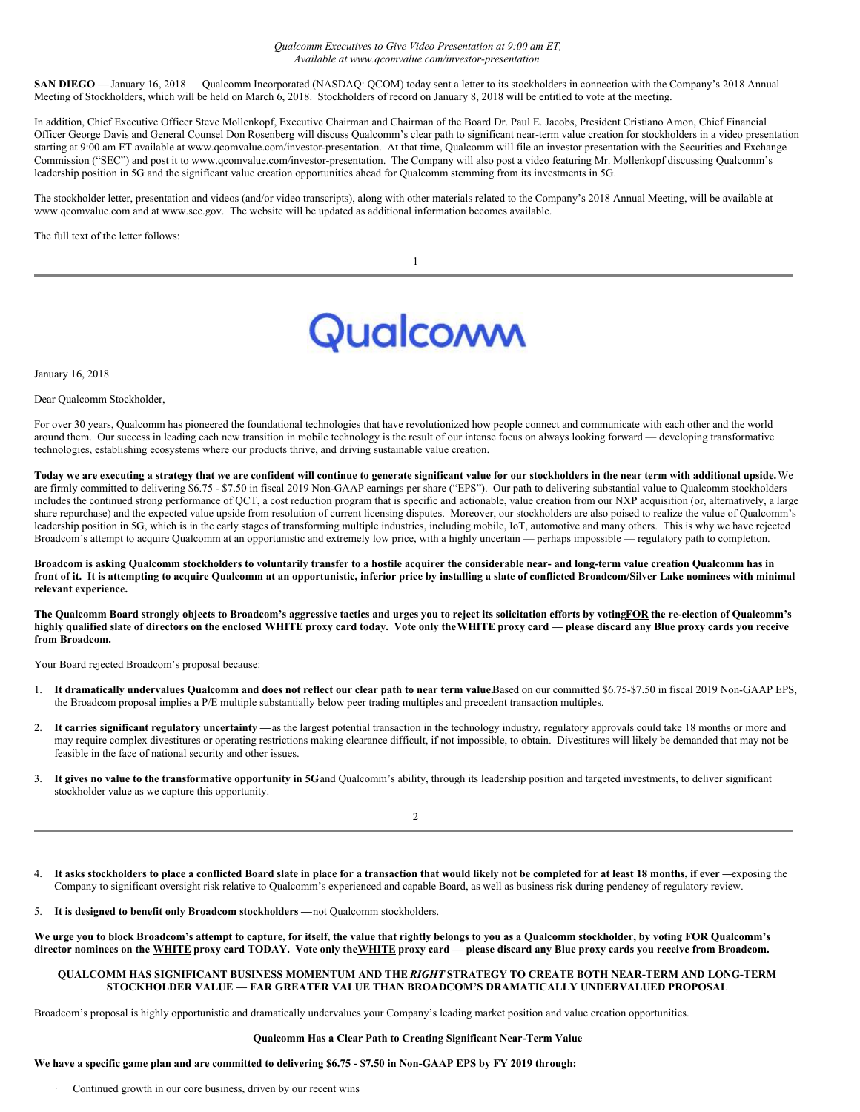#### *Qualcomm Executives to Give Video Presentation at 9:00 am ET, Available at www.qcomvalue.com/investor-presentation*

SAN DIEGO — January 16, 2018 — Qualcomm Incorporated (NASDAQ: QCOM) today sent a letter to its stockholders in connection with the Company's 2018 Annual Meeting of Stockholders, which will be held on March 6, 2018. Stockholders of record on January 8, 2018 will be entitled to vote at the meeting.

In addition, Chief Executive Officer Steve Mollenkopf, Executive Chairman and Chairman of the Board Dr. Paul E. Jacobs, President Cristiano Amon, Chief Financial Officer George Davis and General Counsel Don Rosenberg will discuss Qualcomm's clear path to significant near-term value creation for stockholders in a video presentation starting at 9:00 am ET available at www.qcomvalue.com/investor-presentation. At that time, Qualcomm will file an investor presentation with the Securities and Exchange Commission ("SEC") and post it to www.qcomvalue.com/investor-presentation. The Company will also post a video featuring Mr. Mollenkopf discussing Qualcomm's leadership position in 5G and the significant value creation opportunities ahead for Qualcomm stemming from its investments in 5G.

The stockholder letter, presentation and videos (and/or video transcripts), along with other materials related to the Company's 2018 Annual Meeting, will be available at www.qcomvalue.com and at www.sec.gov. The website will be updated as additional information becomes available.

The full text of the letter follows:

# Qualcoww

January 16, 2018

Dear Qualcomm Stockholder,

For over 30 years, Qualcomm has pioneered the foundational technologies that have revolutionized how people connect and communicate with each other and the world around them. Our success in leading each new transition in mobile technology is the result of our intense focus on always looking forward — developing transformative technologies, establishing ecosystems where our products thrive, and driving sustainable value creation.

Today we are executing a strategy that we are confident will continue to generate significant value for our stockholders in the near term with additional upside. We are firmly committed to delivering \$6.75 - \$7.50 in fiscal 2019 Non-GAAP earnings per share ("EPS"). Our path to delivering substantial value to Qualcomm stockholders includes the continued strong performance of QCT, a cost reduction program that is specific and actionable, value creation from our NXP acquisition (or, alternatively, a large share repurchase) and the expected value upside from resolution of current licensing disputes. Moreover, our stockholders are also poised to realize the value of Qualcomm's leadership position in 5G, which is in the early stages of transforming multiple industries, including mobile, IoT, automotive and many others. This is why we have rejected Broadcom's attempt to acquire Qualcomm at an opportunistic and extremely low price, with a highly uncertain — perhaps impossible — regulatory path to completion.

Broadcom is asking Qualcomm stockholders to voluntarily transfer to a hostile acquirer the considerable near- and long-term value creation Qualcomm has in front of it. It is attempting to acquire Qualcomm at an opportunistic, inferior price by installing a slate of conflicted Broadcom/Silver Lake nominees with minimal **relevant experience.**

The Qualcomm Board strongly objects to Broadcom's aggressive tactics and urges you to reject its solicitation efforts by votingFOR the re-election of Qualcomm's highly qualified slate of directors on the enclosed WHITE proxy card today. Vote only the WHITE proxy card - please discard any Blue proxy cards you receive **from Broadcom.**

Your Board rejected Broadcom's proposal because:

- 1. It dramatically undervalues Qualcomm and does not reflect our clear path to near term value.Based on our committed \$6.75-\$7.50 in fiscal 2019 Non-GAAP EPS, the Broadcom proposal implies a P/E multiple substantially below peer trading multiples and precedent transaction multiples.
- 2. **It carries significant regulatory uncertainty —**as the largest potential transaction in the technology industry, regulatory approvals could take 18 months or more and may require complex divestitures or operating restrictions making clearance difficult, if not impossible, to obtain. Divestitures will likely be demanded that may not be feasible in the face of national security and other issues.
- 3. It gives no value to the transformative opportunity in 5G and Qualcomm's ability, through its leadership position and targeted investments, to deliver significant stockholder value as we capture this opportunity.

 $\mathfrak{D}$ 

It asks stockholders to place a conflicted Board slate in place for a transaction that would likely not be completed for at least 18 months, if ever -exposing the Company to significant oversight risk relative to Qualcomm's experienced and capable Board, as well as business risk during pendency of regulatory review.

5. **It is designed to benefit only Broadcom stockholders —**not Qualcomm stockholders.

We urge you to block Broadcom's attempt to capture, for itself, the value that rightly belongs to you as a Qualcomm stockholder, by voting FOR Qualcomm's director nominees on the WHITE proxy card TODAY. Vote only the WHITE proxy card - please discard any Blue proxy cards you receive from Broadcom.

#### **QUALCOMM HAS SIGNIFICANT BUSINESS MOMENTUM AND THE** *RIGHT* **STRATEGY TO CREATE BOTH NEAR-TERM AND LONG-TERM STOCKHOLDER VALUE — FAR GREATER VALUE THAN BROADCOM'S DRAMATICALLY UNDERVALUED PROPOSAL**

Broadcom's proposal is highly opportunistic and dramatically undervalues your Company's leading market position and value creation opportunities.

#### **Qualcomm Has a Clear Path to Creating Significant Near-Term Value**

#### We have a specific game plan and are committed to delivering \$6.75 - \$7.50 in Non-GAAP EPS by FY 2019 through:

Continued growth in our core business, driven by our recent wins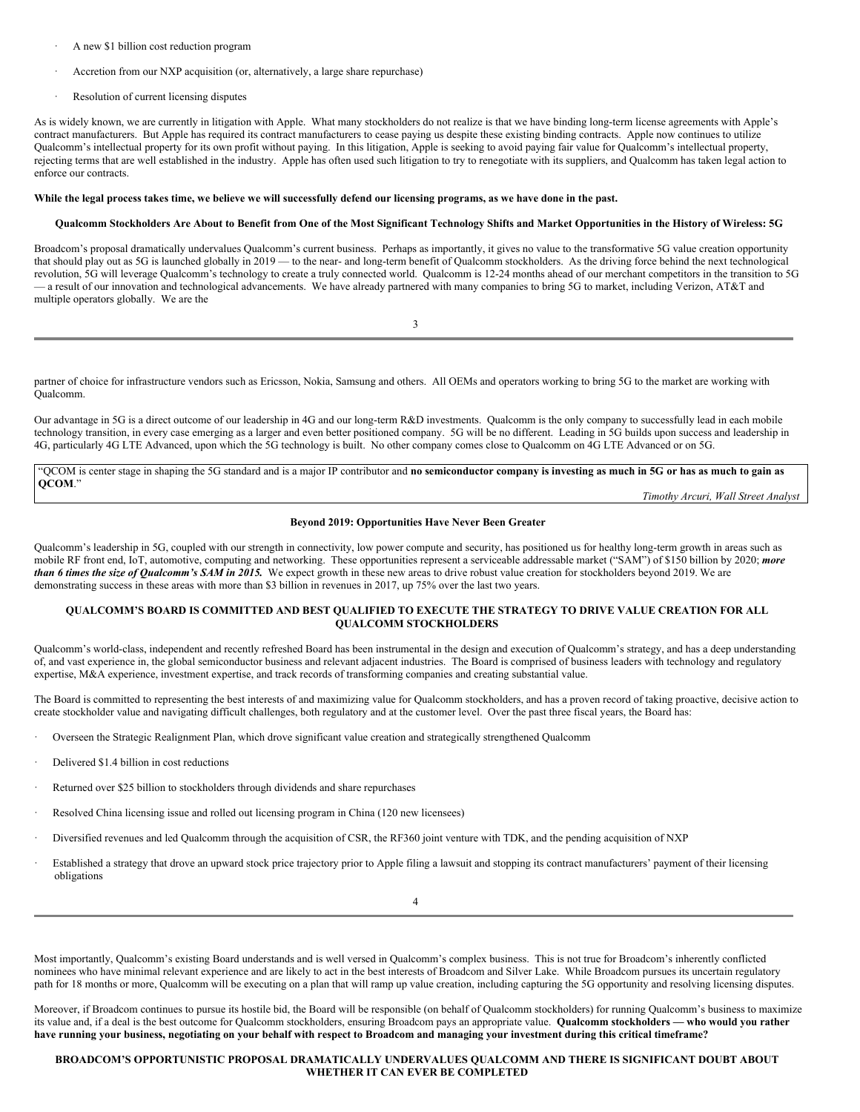- A new \$1 billion cost reduction program
- Accretion from our NXP acquisition (or, alternatively, a large share repurchase)
- Resolution of current licensing disputes

As is widely known, we are currently in litigation with Apple. What many stockholders do not realize is that we have binding long-term license agreements with Apple's contract manufacturers. But Apple has required its contract manufacturers to cease paying us despite these existing binding contracts. Apple now continues to utilize Qualcomm's intellectual property for its own profit without paying. In this litigation, Apple is seeking to avoid paying fair value for Qualcomm's intellectual property, rejecting terms that are well established in the industry. Apple has often used such litigation to try to renegotiate with its suppliers, and Qualcomm has taken legal action to enforce our contracts.

#### While the legal process takes time, we believe we will successfully defend our licensing programs, as we have done in the past.

#### Qualcomm Stockholders Are About to Benefit from One of the Most Significant Technology Shifts and Market Opportunities in the History of Wireless: 5G

Broadcom's proposal dramatically undervalues Qualcomm's current business. Perhaps as importantly, it gives no value to the transformative 5G value creation opportunity that should play out as 5G is launched globally in 2019 — to the near- and long-term benefit of Qualcomm stockholders. As the driving force behind the next technological revolution, 5G will leverage Qualcomm's technology to create a truly connected world. Qualcomm is 12-24 months ahead of our merchant competitors in the transition to 5G — a result of our innovation and technological advancements. We have already partnered with many companies to bring 5G to market, including Verizon, AT&T and multiple operators globally. We are the

| I<br>I |
|--------|
| $\sim$ |

partner of choice for infrastructure vendors such as Ericsson, Nokia, Samsung and others. All OEMs and operators working to bring 5G to the market are working with Qualcomm.

Our advantage in 5G is a direct outcome of our leadership in 4G and our long-term R&D investments. Qualcomm is the only company to successfully lead in each mobile technology transition, in every case emerging as a larger and even better positioned company. 5G will be no different. Leading in 5G builds upon success and leadership in 4G, particularly 4G LTE Advanced, upon which the 5G technology is built. No other company comes close to Qualcomm on 4G LTE Advanced or on 5G.

'QCOM is center stage in shaping the 5G standard and is a major IP contributor and no semiconductor company is investing as much in 5G or has as much to gain as **QCOM**."

*Timothy Arcuri, Wall Street Analyst*

#### **Beyond 2019: Opportunities Have Never Been Greater**

Qualcomm's leadership in 5G, coupled with our strength in connectivity, low power compute and security, has positioned us for healthy long-term growth in areas such as mobile RF front end, IoT, automotive, computing and networking. These opportunities represent a serviceable addressable market ("SAM") of \$150 billion by 2020; *more than 6 times the size of Qualcomm's SAM in 2015.* We expect growth in these new areas to drive robust value creation for stockholders beyond 2019. We are demonstrating success in these areas with more than \$3 billion in revenues in 2017, up 75% over the last two years.

#### **QUALCOMM'S BOARD IS COMMITTED AND BEST QUALIFIED TO EXECUTE THE STRATEGY TO DRIVE VALUE CREATION FOR ALL QUALCOMM STOCKHOLDERS**

Qualcomm's world-class, independent and recently refreshed Board has been instrumental in the design and execution of Qualcomm's strategy, and has a deep understanding of, and vast experience in, the global semiconductor business and relevant adjacent industries. The Board is comprised of business leaders with technology and regulatory expertise, M&A experience, investment expertise, and track records of transforming companies and creating substantial value.

The Board is committed to representing the best interests of and maximizing value for Qualcomm stockholders, and has a proven record of taking proactive, decisive action to create stockholder value and navigating difficult challenges, both regulatory and at the customer level. Over the past three fiscal years, the Board has:

- · Overseen the Strategic Realignment Plan, which drove significant value creation and strategically strengthened Qualcomm
- Delivered \$1.4 billion in cost reductions
- Returned over \$25 billion to stockholders through dividends and share repurchases
- Resolved China licensing issue and rolled out licensing program in China (120 new licensees)
- · Diversified revenues and led Qualcomm through the acquisition of CSR, the RF360 joint venture with TDK, and the pending acquisition of NXP
- · Established a strategy that drove an upward stock price trajectory prior to Apple filing a lawsuit and stopping its contract manufacturers' payment of their licensing obligations

Most importantly, Qualcomm's existing Board understands and is well versed in Qualcomm's complex business. This is not true for Broadcom's inherently conflicted nominees who have minimal relevant experience and are likely to act in the best interests of Broadcom and Silver Lake. While Broadcom pursues its uncertain regulatory path for 18 months or more, Qualcomm will be executing on a plan that will ramp up value creation, including capturing the 5G opportunity and resolving licensing disputes.

Moreover, if Broadcom continues to pursue its hostile bid, the Board will be responsible (on behalf of Qualcomm stockholders) for running Qualcomm's business to maximize its value and, if a deal is the best outcome for Qualcomm stockholders, ensuring Broadcom pays an appropriate value. **Qualcomm stockholders — who would you rather** have running your business, negotiating on your behalf with respect to Broadcom and managing your investment during this critical timeframe?

#### **BROADCOM'S OPPORTUNISTIC PROPOSAL DRAMATICALLY UNDERVALUES QUALCOMM AND THERE IS SIGNIFICANT DOUBT ABOUT WHETHER IT CAN EVER BE COMPLETED**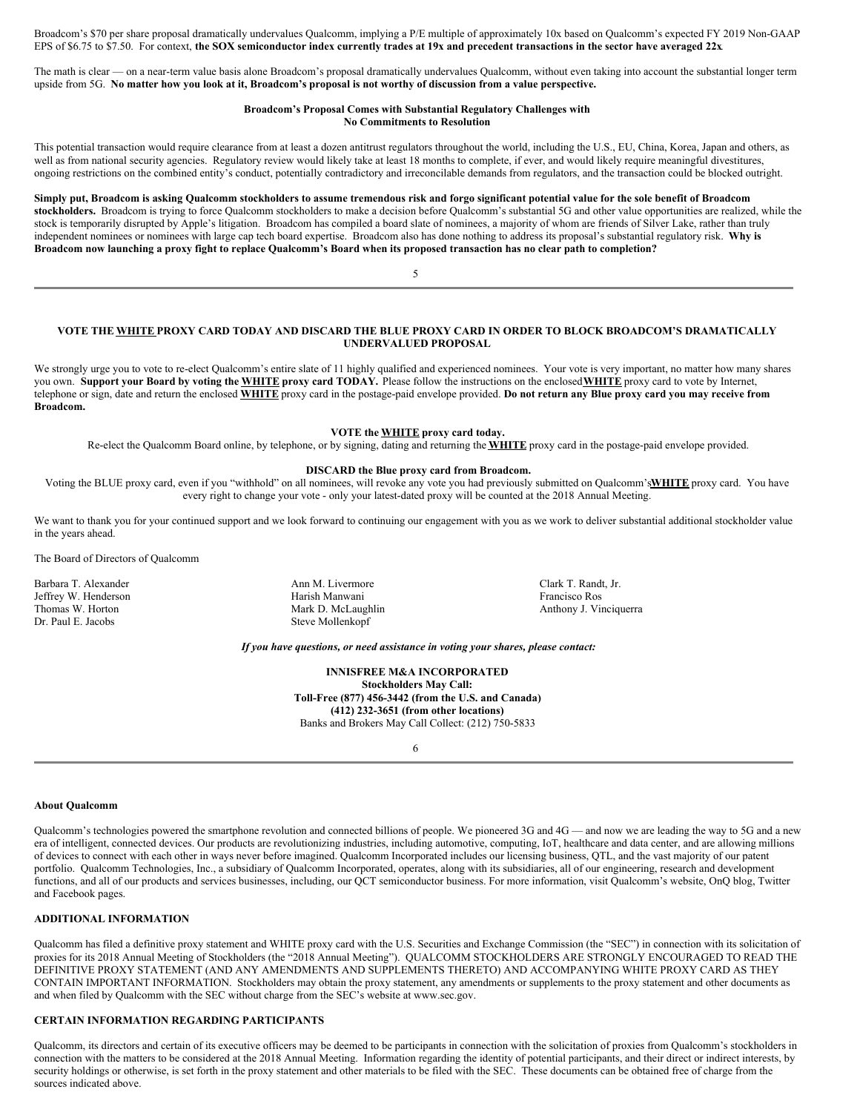Broadcom's \$70 per share proposal dramatically undervalues Qualcomm, implying a P/E multiple of approximately 10x based on Qualcomm's expected FY 2019 Non-GAAP EPS of \$6.75 to \$7.50. For context, the SOX semiconductor index currently trades at 19x and precedent transactions in the sector have averaged 22x

The math is clear — on a near-term value basis alone Broadcom's proposal dramatically undervalues Qualcomm, without even taking into account the substantial longer term upside from 5G. No matter how you look at it, Broadcom's proposal is not worthy of discussion from a value perspective.

#### **Broadcom's Proposal Comes with Substantial Regulatory Challenges with No Commitments to Resolution**

This potential transaction would require clearance from at least a dozen antitrust regulators throughout the world, including the U.S., EU, China, Korea, Japan and others, as well as from national security agencies. Regulatory review would likely take at least 18 months to complete, if ever, and would likely require meaningful divestitures, ongoing restrictions on the combined entity's conduct, potentially contradictory and irreconcilable demands from regulators, and the transaction could be blocked outright.

#### Simply put, Broadcom is asking Qualcomm stockholders to assume tremendous risk and forgo significant potential value for the sole benefit of Broadcom **stockholders.** Broadcom is trying to force Qualcomm stockholders to make a decision before Qualcomm's substantial 5G and other value opportunities are realized, while the stock is temporarily disrupted by Apple's litigation. Broadcom has compiled a board slate of nominees, a majority of whom are friends of Silver Lake, rather than truly independent nominees or nominees with large cap tech board expertise. Broadcom also has done nothing to address its proposal's substantial regulatory risk. **Why is** Broadcom now launching a proxy fight to replace Qualcomm's Board when its proposed transaction has no clear path to completion?

5

VOTE THE WHITE PROXY CARD TODAY AND DISCARD THE BLUE PROXY CARD IN ORDER TO BLOCK BROADCOM'S DRAMATICALLY **UNDERVALUED PROPOSAL**

We strongly urge you to vote to re-elect Qualcomm's entire slate of 11 highly qualified and experienced nominees. Your vote is very important, no matter how many shares you own. Support your Board by voting the WHITE proxy card TODAY. Please follow the instructions on the enclosed WHITE proxy card to vote by Internet, telephone or sign, date and return the enclosed WHITE proxy card in the postage-paid envelope provided. Do not return any Blue proxy card you may receive from **Broadcom.**

#### **VOTE the WHITE proxy card today.**

Re-elect the Qualcomm Board online, by telephone, or by signing, dating and returning the **WHITE** proxy card in the postage-paid envelope provided.

#### **DISCARD the Blue proxy card from Broadcom.**

Voting the BLUE proxy card, even if you "withhold" on all nominees, will revoke any vote you had previously submitted on Qualcomm's**WHITE** proxy card. You have every right to change your vote - only your latest-dated proxy will be counted at the 2018 Annual Meeting.

We want to thank you for your continued support and we look forward to continuing our engagement with you as we work to deliver substantial additional stockholder value in the years ahead.

The Board of Directors of Qualcomm

Jeffrey W. Henderson Harish Manwani Francisco Ros Dr. Paul E. Jacobs Steve Mollenkopf

Barbara T. Alexander **Ann M. Livermore** Ann M. Livermore **Ann Clark T. Randt, Jr. Ann M. Livermore** Clark T. Randt, Jr.

Anthony J. Vinciquerra

#### *If you have questions, or need assistance in voting your shares, please contact:*

**INNISFREE M&A INCORPORATED Stockholders May Call: Toll-Free (877) 456-3442 (from the U.S. and Canada) (412) 232-3651 (from other locations)** Banks and Brokers May Call Collect: (212) 750-5833

6

#### **About Qualcomm**

Qualcomm's technologies powered the smartphone revolution and connected billions of people. We pioneered 3G and 4G — and now we are leading the way to 5G and a new era of intelligent, connected devices. Our products are revolutionizing industries, including automotive, computing, IoT, healthcare and data center, and are allowing millions of devices to connect with each other in ways never before imagined. Qualcomm Incorporated includes our licensing business, QTL, and the vast majority of our patent portfolio. Qualcomm Technologies, Inc., a subsidiary of Qualcomm Incorporated, operates, along with its subsidiaries, all of our engineering, research and development functions, and all of our products and services businesses, including, our QCT semiconductor business. For more information, visit Qualcomm's website, OnQ blog, Twitter and Facebook pages.

#### **ADDITIONAL INFORMATION**

Qualcomm has filed a definitive proxy statement and WHITE proxy card with the U.S. Securities and Exchange Commission (the "SEC") in connection with its solicitation of proxies for its 2018 Annual Meeting of Stockholders (the "2018 Annual Meeting"). QUALCOMM STOCKHOLDERS ARE STRONGLY ENCOURAGED TO READ THE DEFINITIVE PROXY STATEMENT (AND ANY AMENDMENTS AND SUPPLEMENTS THERETO) AND ACCOMPANYING WHITE PROXY CARD AS THEY CONTAIN IMPORTANT INFORMATION. Stockholders may obtain the proxy statement, any amendments or supplements to the proxy statement and other documents as and when filed by Qualcomm with the SEC without charge from the SEC's website at www.sec.gov.

#### **CERTAIN INFORMATION REGARDING PARTICIPANTS**

Qualcomm, its directors and certain of its executive officers may be deemed to be participants in connection with the solicitation of proxies from Qualcomm's stockholders in connection with the matters to be considered at the 2018 Annual Meeting. Information regarding the identity of potential participants, and their direct or indirect interests, by security holdings or otherwise, is set forth in the proxy statement and other materials to be filed with the SEC. These documents can be obtained free of charge from the sources indicated above.